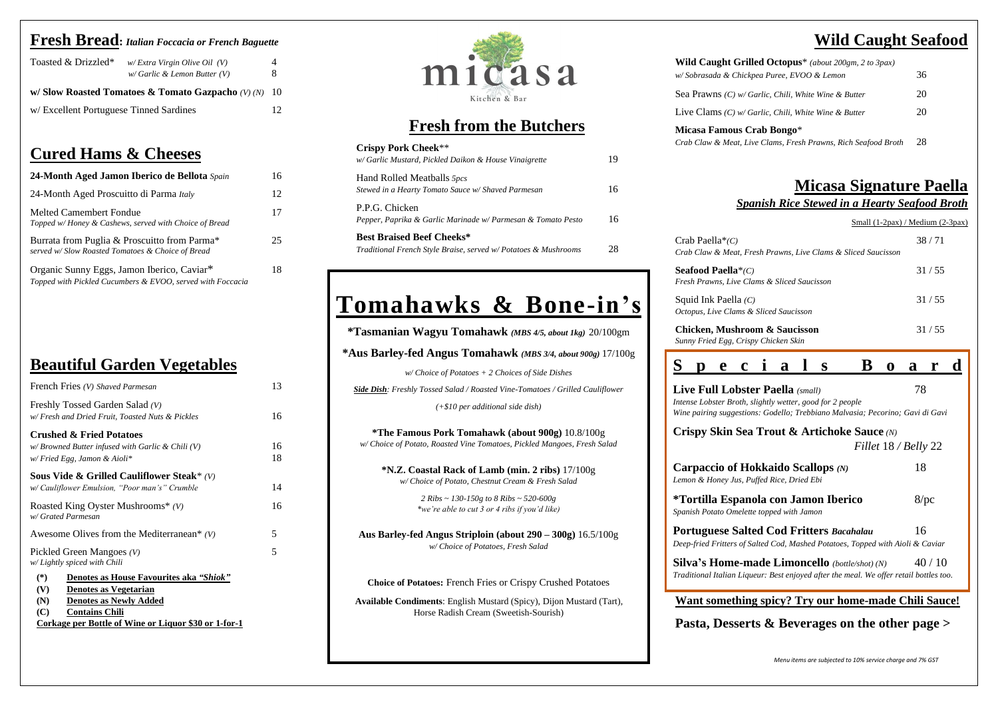#### **Fresh Bread:** *Italian Foccacia or French Baguette*

| Toasted & Drizzled*                     | w/Extra Virgin Olive Oil (V)<br>$w/Garlic$ & Lemon Butter (V) | 4<br>8 |
|-----------------------------------------|---------------------------------------------------------------|--------|
|                                         | w/Slow Roasted Tomatoes & Tomato Gazpacho $(V)(N)$ 10         |        |
| w/ Excellent Portuguese Tinned Sardines |                                                               | 12.    |

#### **Cured Hams & Cheeses**

| 24-Month Aged Jamon Iberico de Bellota Spain                                                             | 16 |
|----------------------------------------------------------------------------------------------------------|----|
| 24-Month Aged Proscuitto di Parma Italy                                                                  | 12 |
| <b>Melted Camembert Fondue</b><br>Topped w/Honey & Cashews, served with Choice of Bread                  | 17 |
| Burrata from Puglia & Proscuitto from Parma*<br>served w/Slow Roasted Tomatoes & Choice of Bread         | 25 |
| Organic Sunny Eggs, Jamon Iberico, Caviar*<br>Topped with Pickled Cucumbers & EVOO, served with Foccacia | 18 |

## **Beautiful Garden Vegetables**

**Micasa Famous Crab** *Crab Claw & Meat, Live Clams, Fresh Prawns, Rich Seafood Broth* 28

Crab Paella<sup>\*</sup>(C) *Crab Claw & Meat, Fresh Prawns, Live Clams & Sliced Saucisson*

**Seafood Paella**\*(C) *Fresh Prawns, Live Clams & Sliced Saucisson*

Squid Ink Paella (C) *Octopus, Live Clams &* 

**Chicken, Mushroo** *Sunny Fried Egg, Crisp* 

## **Wild Caught Seafood**

| ed Octopus <sup>*</sup> (about 200gm, 2 to 3pax)        |    |
|---------------------------------------------------------|----|
| vea Puree, EVOO & Lemon                                 | 36 |
| arlic, Chili, White Wine & Butter                       | 20 |
| arlic, Chili, White Wine & Butter                       | 20 |
| rab Bongo*<br>e Clams, Fresh Prawns, Rich Seafood Broth | 28 |
|                                                         |    |

#### **Micasa Signature Paella**  *Spanish Rice Stewed in a Hearty Seafood Broth*

Small (1-2pax) / Medium (2-3pax)

| esh Prawns, Live Clams & Sliced Saucisson | 38/71 |  |
|-------------------------------------------|-------|--|
| ıms & Sliced Saucisson                    | 31/55 |  |
| <b>Sliced Saucisson</b>                   | 31/55 |  |
| om & Saucisson<br>vy Chicken Skin         | 31/55 |  |

**Pasta, Desserts & Beverages on the other page >**



|                               | <b>Live Full Lobster Paella</b> (small)                          | $\mathbf c$ | $\mathbf{a}$ | S<br>Intense Lobster Broth, slightly wetter, good for 2 people | Wine pairing suggestions: Godello; Trebbiano Malvasia; Pecorino; Gavi di Gavi                                                                   |  | a<br>78              |         |  |
|-------------------------------|------------------------------------------------------------------|-------------|--------------|----------------------------------------------------------------|-------------------------------------------------------------------------------------------------------------------------------------------------|--|----------------------|---------|--|
|                               |                                                                  |             |              |                                                                | Crispy Skin Sea Trout & Artichoke Sauce (N)                                                                                                     |  | Fillet 18 / Belly 22 |         |  |
|                               | Lemon & Honey Jus, Puffed Rice, Dried Ebi                        |             |              | Carpaccio of Hokkaido Scallops $(N)$                           |                                                                                                                                                 |  | 18                   |         |  |
|                               | Spanish Potato Omelette topped with Jamon                        |             |              | *Tortilla Espanola con Jamon Iberico                           |                                                                                                                                                 |  |                      | $8$ /pc |  |
|                               |                                                                  |             |              |                                                                | <b>Portuguese Salted Cod Fritters Bacahalau</b><br>Deep-fried Fritters of Salted Cod, Mashed Potatoes, Topped with Aioli & Caviar               |  | 16                   |         |  |
|                               |                                                                  |             |              |                                                                | <b>Silva's Home-made Limoncello</b> (bottle/shot) (N)<br>Traditional Italian Liqueur: Best enjoyed after the meal. We offer retail bottles too. |  |                      | 40/10   |  |
| $\mathbf{B}$ . $\mathbf{A}$ . | $\mathbf{D}$ $\mathbf{D}$ $\mathbf{D}$ $\mathbf{D}$ $\mathbf{D}$ |             |              |                                                                | <b>Want something spicy? Try our home-made Chili Sauce!</b>                                                                                     |  |                      |         |  |

| French Fries (V) Shaved Parmesan                                                                                                                                                                                               | 13       |
|--------------------------------------------------------------------------------------------------------------------------------------------------------------------------------------------------------------------------------|----------|
| Freshly Tossed Garden Salad (V)<br>w/ Fresh and Dried Fruit, Toasted Nuts & Pickles                                                                                                                                            | 16       |
| <b>Crushed &amp; Fried Potatoes</b><br>$w/Browned Butter$ infused with Garlic & Chili (V)<br>w/Fried Egg, Jamon & Aioli*                                                                                                       | 16<br>18 |
| Sous Vide & Grilled Cauliflower Steak* $(V)$<br>w/ Cauliflower Emulsion, "Poor man's" Crumble                                                                                                                                  | 14       |
| Roasted King Oyster Mushrooms* $(V)$<br>w/ Grated Parmesan                                                                                                                                                                     | 16       |
| Awesome Olives from the Mediterranean* $(V)$                                                                                                                                                                                   | 5        |
| Pickled Green Mangoes $(V)$<br>w/Lightly spiced with Chili                                                                                                                                                                     | 5        |
| $(*)$<br>Denotes as House Favourites aka "Shiok"<br>(V)<br><b>Denotes as Vegetarian</b><br>(N)<br><b>Denotes as Newly Added</b><br>(C)<br><b>Contains Chili</b><br><u>Corkage per Bottle of Wine or Liquor \$30 or 1-for-1</u> |          |



#### **Fresh from the Butchers**

| <b>Crispy Pork Cheek**</b><br>w/Garlic Mustard, Pickled Daikon & House Vinaigrette                 | 19 |
|----------------------------------------------------------------------------------------------------|----|
| Hand Rolled Meatballs 5pcs<br>Stewed in a Hearty Tomato Sauce w/ Shaved Parmesan                   | 16 |
| P.P.G. Chicken<br>Pepper, Paprika & Garlic Marinade w/ Parmesan & Tomato Pesto                     | 16 |
| <b>Best Braised Beef Cheeks*</b><br>Traditional French Style Braise, served w/Potatoes & Mushrooms | 28 |

# **Tomahawks & Bone-in's**

**\*Tasmanian Wagyu Tomahawk** *(MBS 4/5, about 1kg)* 20/100gm

**\*Aus Barley-fed Angus Tomahawk** *(MBS 3/4, about 900g)* 17/100g

*w/ Choice of Potatoes + 2 Choices of Side Dishes*

*Side Dish: Freshly Tossed Salad / Roasted Vine-Tomatoes / Grilled Cauliflower*

*(+\$10 per additional side dish)*

**\*The Famous Pork Tomahawk (about 900g)** 10.8/100g *w/ Choice of Potato, Roasted Vine Tomatoes, Pickled Mangoes, Fresh Salad*

**\*N.Z. Coastal Rack of Lamb (min. 2 ribs)** 17/100g *w/ Choice of Potato, Chestnut Cream & Fresh Salad*

> *2 Ribs ~ 130-150g to 8 Ribs ~ 520-600g \*we're able to cut 3 or 4 ribs if you'd like)*

**Aus Barley-fed Angus Striploin (about 290 – 300g)** 16.5/100g *w/ Choice of Potatoes, Fresh Salad*

**Choice of Potatoes:** French Fries or Crispy Crushed Potatoes

**Available Condiments**: English Mustard (Spicy), Dijon Mustard (Tart), Horse Radish Cream (Sweetish-Sourish)

#### **Wild Caught Griller**

*w/ Sobrasada & Chickp* 

Sea Prawns *(C) w/ Gu* 

Live Clams  $(C)$   $w/Ga$ 

*Menu items are subjected to 10% service charge and 7% GST*